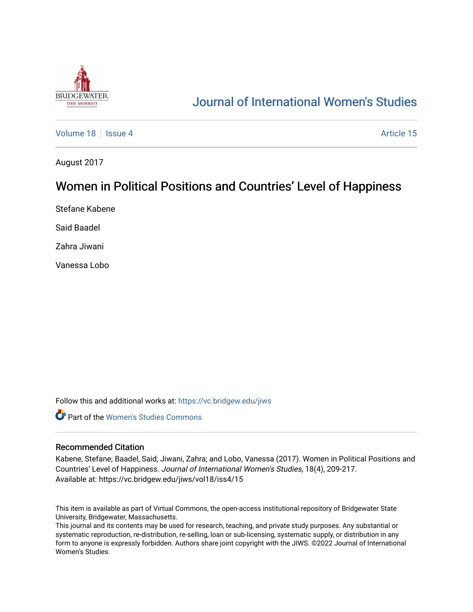

# [Journal of International Women's Studies](https://vc.bridgew.edu/jiws)

[Volume 18](https://vc.bridgew.edu/jiws/vol18) September 18 [Issue 4](https://vc.bridgew.edu/jiws/vol18/iss4) Article 15

August 2017

## Women in Political Positions and Countries' Level of Happiness

Stefane Kabene

Said Baadel

Zahra Jiwani

Vanessa Lobo

Follow this and additional works at: [https://vc.bridgew.edu/jiws](https://vc.bridgew.edu/jiws?utm_source=vc.bridgew.edu%2Fjiws%2Fvol18%2Fiss4%2F15&utm_medium=PDF&utm_campaign=PDFCoverPages)

**C** Part of the Women's Studies Commons

#### Recommended Citation

Kabene, Stefane; Baadel, Said; Jiwani, Zahra; and Lobo, Vanessa (2017). Women in Political Positions and Countries' Level of Happiness. Journal of International Women's Studies, 18(4), 209-217. Available at: https://vc.bridgew.edu/jiws/vol18/iss4/15

This item is available as part of Virtual Commons, the open-access institutional repository of Bridgewater State University, Bridgewater, Massachusetts.

This journal and its contents may be used for research, teaching, and private study purposes. Any substantial or systematic reproduction, re-distribution, re-selling, loan or sub-licensing, systematic supply, or distribution in any form to anyone is expressly forbidden. Authors share joint copyright with the JIWS. ©2022 Journal of International Women's Studies.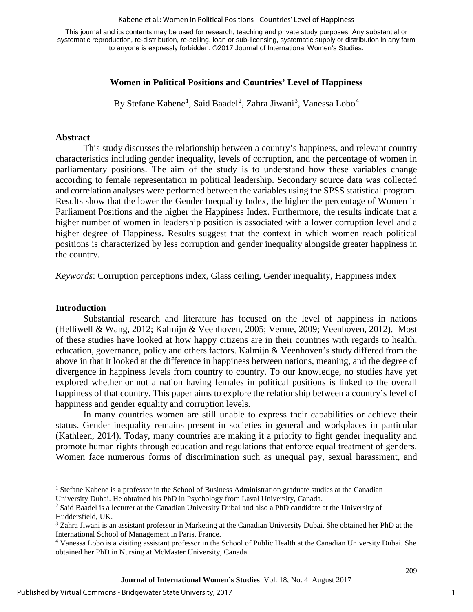#### Kabene et al.: Women in Political Positions - Countries' Level of Happiness

This journal and its contents may be used for research, teaching and private study purposes. Any substantial or systematic reproduction, re-distribution, re-selling, loan or sub-licensing, systematic supply or distribution in any form to anyone is expressly forbidden. ©2017 Journal of International Women's Studies.

## **Women in Political Positions and Countries' Level of Happiness**

By Stefane Kabene<sup>[1](#page-1-0)</sup>, Said Baadel<sup>[2](#page-1-1)</sup>, Zahra Jiwani<sup>[3](#page-1-2)</sup>, Vanessa Lobo<sup>[4](#page-1-3)</sup>

#### **Abstract**

This study discusses the relationship between a country's happiness, and relevant country characteristics including gender inequality, levels of corruption, and the percentage of women in parliamentary positions. The aim of the study is to understand how these variables change according to female representation in political leadership. Secondary source data was collected and correlation analyses were performed between the variables using the SPSS statistical program. Results show that the lower the Gender Inequality Index, the higher the percentage of Women in Parliament Positions and the higher the Happiness Index. Furthermore, the results indicate that a higher number of women in leadership position is associated with a lower corruption level and a higher degree of Happiness. Results suggest that the context in which women reach political positions is characterized by less corruption and gender inequality alongside greater happiness in the country.

*Keywords*: Corruption perceptions index, Glass ceiling, Gender inequality, Happiness index

#### **Introduction**

l

Substantial research and literature has focused on the level of happiness in nations (Helliwell & Wang, 2012; Kalmijn & Veenhoven, 2005; Verme, 2009; Veenhoven, 2012). Most of these studies have looked at how happy citizens are in their countries with regards to health, education, governance, policy and others factors. Kalmijn & Veenhoven's study differed from the above in that it looked at the difference in happiness between nations, meaning, and the degree of divergence in happiness levels from country to country. To our knowledge, no studies have yet explored whether or not a nation having females in political positions is linked to the overall happiness of that country. This paper aims to explore the relationship between a country's level of happiness and gender equality and corruption levels.

In many countries women are still unable to express their capabilities or achieve their status. Gender inequality remains present in societies in general and workplaces in particular (Kathleen, 2014). Today, many countries are making it a priority to fight gender inequality and promote human rights through education and regulations that enforce equal treatment of genders. Women face numerous forms of discrimination such as unequal pay, sexual harassment, and

<span id="page-1-0"></span><sup>&</sup>lt;sup>1</sup> Stefane Kabene is a professor in the School of Business Administration graduate studies at the Canadian University Dubai. He obtained his PhD in Psychology from Laval University, Canada.

<span id="page-1-1"></span><sup>2</sup> Said Baadel is a lecturer at the Canadian University Dubai and also a PhD candidate at the University of Huddersfield, UK.

<span id="page-1-2"></span><sup>3</sup> Zahra Jiwani is an assistant professor in Marketing at the Canadian University Dubai. She obtained her PhD at the International School of Management in Paris, France.<br><sup>4</sup> Vanessa Lobo is a visiting assistant professor in the School of Public Health at the Canadian University Dubai. She

<span id="page-1-3"></span>obtained her PhD in Nursing at McMaster University, Canada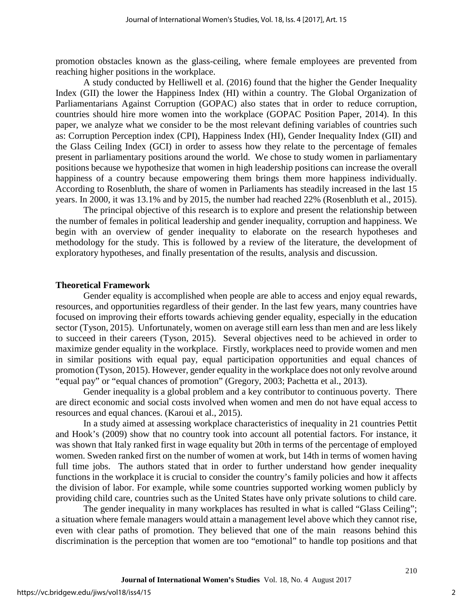promotion obstacles known as the glass-ceiling, where female employees are prevented from reaching higher positions in the workplace.

A study conducted by Helliwell et al. (2016) found that the higher the Gender Inequality Index (GII) the lower the Happiness Index (HI) within a country. The Global Organization of Parliamentarians Against Corruption (GOPAC) also states that in order to reduce corruption, countries should hire more women into the workplace (GOPAC Position Paper, 2014). In this paper, we analyze what we consider to be the most relevant defining variables of countries such as: Corruption Perception index (CPI), Happiness Index (HI), Gender Inequality Index (GII) and the Glass Ceiling Index (GCI) in order to assess how they relate to the percentage of females present in parliamentary positions around the world. We chose to study women in parliamentary positions because we hypothesize that women in high leadership positions can increase the overall happiness of a country because empowering them brings them more happiness individually. According to Rosenbluth, the share of women in Parliaments has steadily increased in the last 15 years. In 2000, it was 13.1% and by 2015, the number had reached 22% (Rosenbluth et al., 2015).

The principal objective of this research is to explore and present the relationship between the number of females in political leadership and gender inequality, corruption and happiness. We begin with an overview of gender inequality to elaborate on the research hypotheses and methodology for the study. This is followed by a review of the literature, the development of exploratory hypotheses, and finally presentation of the results, analysis and discussion.

#### **Theoretical Framework**

Gender equality is accomplished when people are able to access and enjoy equal rewards, resources, and opportunities regardless of their gender. In the last few years, many countries have focused on improving their efforts towards achieving gender equality, especially in the education sector (Tyson, 2015). Unfortunately, women on average still earn less than men and are less likely to succeed in their careers (Tyson, 2015). Several objectives need to be achieved in order to maximize gender equality in the workplace. Firstly, workplaces need to provide women and men in similar positions with equal pay, equal participation opportunities and equal chances of promotion (Tyson, 2015). However, gender equality in the workplace does not only revolve around "equal pay" or "equal chances of promotion" (Gregory, 2003; Pachetta et al., 2013).

Gender inequality is a global problem and a key contributor to continuous poverty. There are direct economic and social costs involved when women and men do not have equal access to resources and equal chances. (Karoui et al., 2015).

In a study aimed at assessing workplace characteristics of inequality in 21 countries Pettit and Hook's (2009) show that no country took into account all potential factors. For instance, it was shown that Italy ranked first in wage equality but 20th in terms of the percentage of employed women. Sweden ranked first on the number of women at work, but 14th in terms of women having full time jobs. The authors stated that in order to further understand how gender inequality functions in the workplace it is crucial to consider the country's family policies and how it affects the division of labor. For example, while some countries supported working women publicly by providing child care, countries such as the United States have only private solutions to child care.

The gender inequality in many workplaces has resulted in what is called "Glass Ceiling"; a situation where female managers would attain a management level above which they cannot rise, even with clear paths of promotion. They believed that one of the main reasons behind this discrimination is the perception that women are too "emotional" to handle top positions and that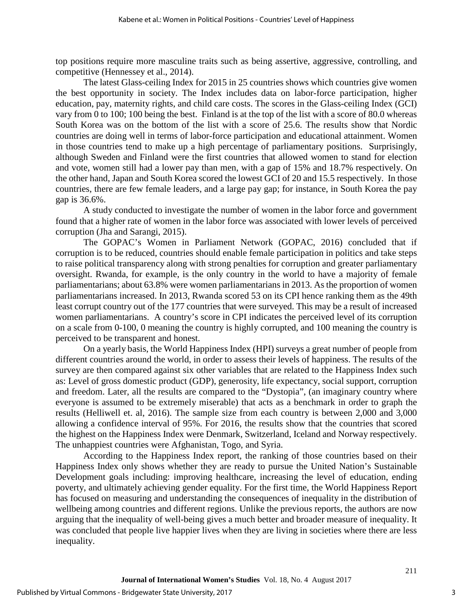top positions require more masculine traits such as being assertive, aggressive, controlling, and competitive (Hennessey et al., 2014).

The latest Glass-ceiling Index for 2015 in 25 countries shows which countries give women the best opportunity in society. The Index includes data on labor-force participation, higher education, pay, maternity rights, and child care costs. The scores in the Glass-ceiling Index (GCI) vary from 0 to 100; 100 being the best. Finland is at the top of the list with a score of 80.0 whereas South Korea was on the bottom of the list with a score of 25.6. The results show that Nordic countries are doing well in terms of labor-force participation and educational attainment. Women in those countries tend to make up a high percentage of parliamentary positions. Surprisingly, although Sweden and Finland were the first countries that allowed women to stand for election and vote, women still had a lower pay than men, with a gap of 15% and 18.7% respectively. On the other hand, Japan and South Korea scored the lowest GCI of 20 and 15.5 respectively. In those countries, there are few female leaders, and a large pay gap; for instance, in South Korea the pay gap is 36.6%.

A study conducted to investigate the number of women in the labor force and government found that a higher rate of women in the labor force was associated with lower levels of perceived corruption (Jha and Sarangi, 2015).

The GOPAC's Women in Parliament Network (GOPAC, 2016) concluded that if corruption is to be reduced, countries should enable female participation in politics and take steps to raise political transparency along with strong penalties for corruption and greater parliamentary oversight. Rwanda, for example, is the only country in the world to have a majority of female parliamentarians; about 63.8% were women parliamentarians in 2013. As the proportion of women parliamentarians increased. In 2013, Rwanda scored 53 on its CPI hence ranking them as the 49th least corrupt country out of the 177 countries that were surveyed. This may be a result of increased women parliamentarians. A country's score in CPI indicates the perceived level of its corruption on a scale from 0-100, 0 meaning the country is highly corrupted, and 100 meaning the country is perceived to be transparent and honest.

On a yearly basis, the World Happiness Index (HPI) surveys a great number of people from different countries around the world, in order to assess their levels of happiness. The results of the survey are then compared against six other variables that are related to the Happiness Index such as: Level of gross domestic product (GDP), generosity, life expectancy, social support, corruption and freedom. Later, all the results are compared to the "Dystopia", (an imaginary country where everyone is assumed to be extremely miserable) that acts as a benchmark in order to graph the results (Helliwell et. al, 2016). The sample size from each country is between 2,000 and 3,000 allowing a confidence interval of 95%. For 2016, the results show that the countries that scored the highest on the Happiness Index were Denmark, Switzerland, Iceland and Norway respectively. The unhappiest countries were Afghanistan, Togo, and Syria.

According to the Happiness Index report, the ranking of those countries based on their Happiness Index only shows whether they are ready to pursue the United Nation's Sustainable Development goals including: improving healthcare, increasing the level of education, ending poverty, and ultimately achieving gender equality. For the first time, the World Happiness Report has focused on measuring and understanding the consequences of inequality in the distribution of wellbeing among countries and different regions. Unlike the previous reports, the authors are now arguing that the inequality of well-being gives a much better and broader measure of inequality. It was concluded that people live happier lives when they are living in societies where there are less inequality.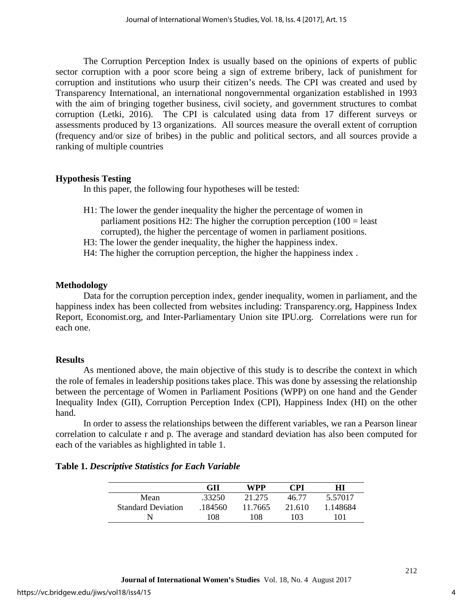The Corruption Perception Index is usually based on the opinions of experts of public sector corruption with a poor score being a sign of extreme bribery, lack of punishment for corruption and institutions who usurp their citizen's needs. The CPI was created and used by Transparency International, an international nongovernmental organization established in 1993 with the aim of bringing together business, civil society, and government structures to combat corruption (Letki, 2016). The CPI is calculated using data from 17 different surveys or assessments produced by 13 organizations. All sources measure the overall extent of corruption (frequency and/or size of bribes) in the public and political sectors, and all sources provide a ranking of multiple countries

## **Hypothesis Testing**

In this paper, the following four hypotheses will be tested:

- H1: The lower the gender inequality the higher the percentage of women in parliament positions H2: The higher the corruption perception  $(100 =$  least corrupted), the higher the percentage of women in parliament positions.
- H3: The lower the gender inequality, the higher the happiness index.
- H4: The higher the corruption perception, the higher the happiness index .

## **Methodology**

Data for the corruption perception index, gender inequality, women in parliament, and the happiness index has been collected from websites including: Transparency.org, Happiness Index Report, Economist.org, and Inter-Parliamentary Union site IPU.org. Correlations were run for each one.

## **Results**

As mentioned above, the main objective of this study is to describe the context in which the role of females in leadership positions takes place. This was done by assessing the relationship between the percentage of Women in Parliament Positions (WPP) on one hand and the Gender Inequality Index (GII), Corruption Perception Index (CPI), Happiness Index (HI) on the other hand.

In order to assess the relationships between the different variables, we ran a Pearson linear correlation to calculate r and p. The average and standard deviation has also been computed for each of the variables as highlighted in table 1.

|                           | GП      | WPP     | <b>CPI</b> | HІ       |
|---------------------------|---------|---------|------------|----------|
| Mean                      | .33250  | 21.275  | 46.77      | 5.57017  |
| <b>Standard Deviation</b> | .184560 | 11.7665 | 21.610     | 1.148684 |
|                           | 108     | 108     | 103        | 101      |

4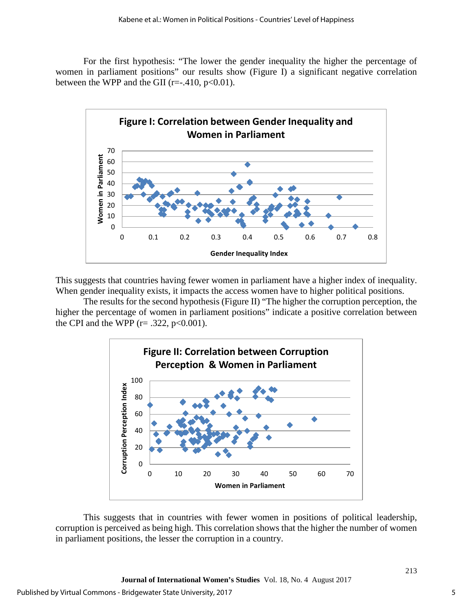For the first hypothesis: "The lower the gender inequality the higher the percentage of women in parliament positions" our results show (Figure I) a significant negative correlation between the WPP and the GII ( $r=-.410$ ,  $p<0.01$ ).



This suggests that countries having fewer women in parliament have a higher index of inequality. When gender inequality exists, it impacts the access women have to higher political positions.

The results for the second hypothesis (Figure II) "The higher the corruption perception, the higher the percentage of women in parliament positions" indicate a positive correlation between the CPI and the WPP ( $r = .322$ ,  $p < 0.001$ ).



This suggests that in countries with fewer women in positions of political leadership, corruption is perceived as being high. This correlation shows that the higher the number of women in parliament positions, the lesser the corruption in a country.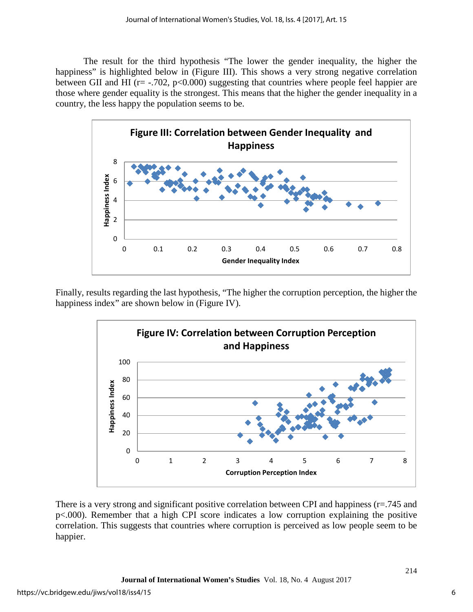The result for the third hypothesis "The lower the gender inequality, the higher the happiness" is highlighted below in (Figure III). This shows a very strong negative correlation between GII and HI ( $r = -0.702$ ,  $p < 0.000$ ) suggesting that countries where people feel happier are those where gender equality is the strongest. This means that the higher the gender inequality in a country, the less happy the population seems to be.



Finally, results regarding the last hypothesis, "The higher the corruption perception, the higher the happiness index" are shown below in (Figure IV).



There is a very strong and significant positive correlation between CPI and happiness (r=.745 and p<.000). Remember that a high CPI score indicates a low corruption explaining the positive correlation. This suggests that countries where corruption is perceived as low people seem to be happier.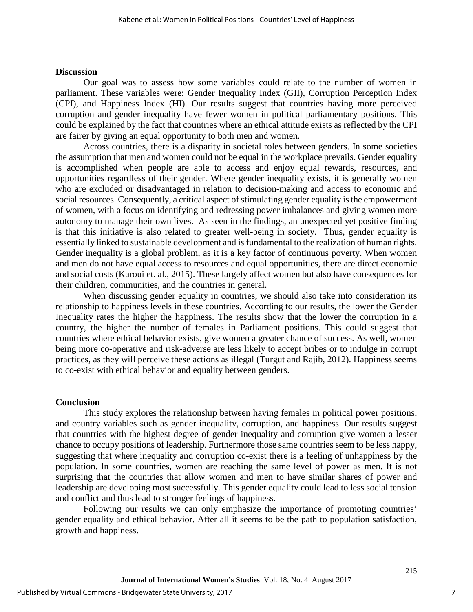#### **Discussion**

Our goal was to assess how some variables could relate to the number of women in parliament. These variables were: Gender Inequality Index (GII), Corruption Perception Index (CPI), and Happiness Index (HI). Our results suggest that countries having more perceived corruption and gender inequality have fewer women in political parliamentary positions. This could be explained by the fact that countries where an ethical attitude exists as reflected by the CPI are fairer by giving an equal opportunity to both men and women.

Across countries, there is a disparity in societal roles between genders. In some societies the assumption that men and women could not be equal in the workplace prevails. Gender equality is accomplished when people are able to access and enjoy equal rewards, resources, and opportunities regardless of their gender. Where gender inequality exists, it is generally women who are excluded or disadvantaged in relation to decision-making and access to economic and social resources. Consequently, a critical aspect of stimulating gender equality is the empowerment of women, with a focus on identifying and redressing power imbalances and giving women more autonomy to manage their own lives. As seen in the findings, an unexpected yet positive finding is that this initiative is also related to greater well-being in society. Thus, gender equality is essentially linked to sustainable development and is fundamental to the realization of human rights. Gender inequality is a global problem, as it is a key factor of continuous poverty. When women and men do not have equal access to resources and equal opportunities, there are direct economic and social costs (Karoui et. al., 2015). These largely affect women but also have consequences for their children, communities, and the countries in general.

When discussing gender equality in countries, we should also take into consideration its relationship to happiness levels in these countries. According to our results, the lower the Gender Inequality rates the higher the happiness. The results show that the lower the corruption in a country, the higher the number of females in Parliament positions. This could suggest that countries where ethical behavior exists, give women a greater chance of success. As well, women being more co-operative and risk-adverse are less likely to accept bribes or to indulge in corrupt practices, as they will perceive these actions as illegal (Turgut and Rajib, 2012). Happiness seems to co-exist with ethical behavior and equality between genders.

## **Conclusion**

This study explores the relationship between having females in political power positions, and country variables such as gender inequality, corruption, and happiness. Our results suggest that countries with the highest degree of gender inequality and corruption give women a lesser chance to occupy positions of leadership. Furthermore those same countries seem to be less happy, suggesting that where inequality and corruption co-exist there is a feeling of unhappiness by the population. In some countries, women are reaching the same level of power as men. It is not surprising that the countries that allow women and men to have similar shares of power and leadership are developing most successfully. This gender equality could lead to less social tension and conflict and thus lead to stronger feelings of happiness.

Following our results we can only emphasize the importance of promoting countries' gender equality and ethical behavior. After all it seems to be the path to population satisfaction, growth and happiness.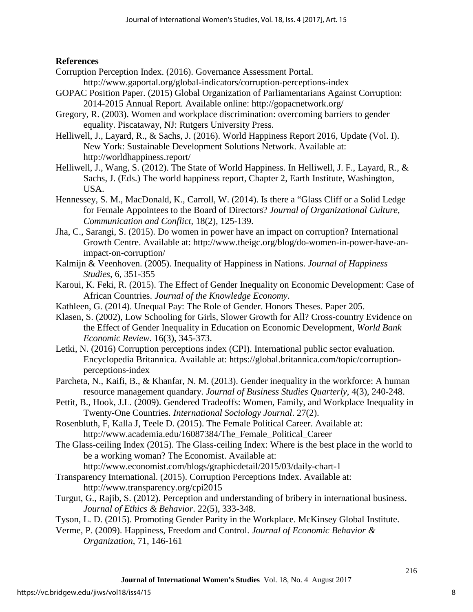## **References**

- Corruption Perception Index. (2016). Governance Assessment Portal.
	- http://www.gaportal.org/global-indicators/corruption-perceptions-index
- GOPAC Position Paper. (2015) Global Organization of Parliamentarians Against Corruption: 2014-2015 Annual Report. Available online: http://gopacnetwork.org/
- Gregory, R. (2003). Women and workplace discrimination: overcoming barriers to gender equality. Piscataway, NJ: Rutgers University Press.
- Helliwell, J., Layard, R., & Sachs, J. (2016). World Happiness Report 2016, Update (Vol. I). New York: Sustainable Development Solutions Network. Available at: http://worldhappiness.report/
- Helliwell, J., Wang, S. (2012). The State of World Happiness. In Helliwell, J. F., Layard, R., & Sachs, J. (Eds.) The world happiness report, Chapter 2, Earth Institute, Washington, USA.
- Hennessey, S. M., MacDonald, K., Carroll, W. (2014). Is there a "Glass Cliff or a Solid Ledge for Female Appointees to the Board of Directors? *Journal of Organizational Culture, Communication and Conflict*, 18(2), 125-139.
- Jha, C., Sarangi, S. (2015). Do women in power have an impact on corruption? International Growth Centre. Available at: http://www.theigc.org/blog/do-women-in-power-have-animpact-on-corruption/
- Kalmijn & Veenhoven. (2005). Inequality of Happiness in Nations. *Journal of Happiness Studies*, 6, 351-355
- Karoui, K. Feki, R. (2015). The Effect of Gender Inequality on Economic Development: Case of African Countries. *Journal of the Knowledge Economy*.
- Kathleen, G. (2014). Unequal Pay: The Role of Gender. Honors Theses. Paper 205.
- Klasen, S. (2002), Low Schooling for Girls, Slower Growth for All? Cross-country Evidence on the Effect of Gender Inequality in Education on Economic Development, *World Bank Economic Review*. 16(3), 345-373.
- Letki, N. (2016) Corruption perceptions index (CPI). International public sector evaluation. Encyclopedia Britannica. Available at: https://global.britannica.com/topic/corruptionperceptions-index
- Parcheta, N., Kaifi, B., & Khanfar, N. M. (2013). Gender inequality in the workforce: A human resource management quandary. *Journal of Business Studies Quarterly*, 4(3), 240-248.
- Pettit, B., Hook, J.L. (2009). Gendered Tradeoffs: Women, Family, and Workplace Inequality in Twenty-One Countries. *International Sociology Journal*. 27(2).
- Rosenbluth, F, Kalla J, Teele D. (2015). The Female Political Career. Available at: http://www.academia.edu/16087384/The Female Political Career
- The Glass-ceiling Index (2015). The Glass-ceiling Index: Where is the best place in the world to be a working woman? The Economist. Available at:
	- http://www.economist.com/blogs/graphicdetail/2015/03/daily-chart-1
- Transparency International. (2015). Corruption Perceptions Index. Available at: http://www.transparency.org/cpi2015
- Turgut, G., Rajib, S. (2012). Perception and understanding of bribery in international business. *Journal of Ethics & Behavior*. 22(5), 333-348.
- Tyson, L. D. (2015). Promoting Gender Parity in the Workplace. McKinsey Global Institute.
- Verme, P. (2009). Happiness, Freedom and Control. *Journal of Economic Behavior & Organization*, 71, 146-161